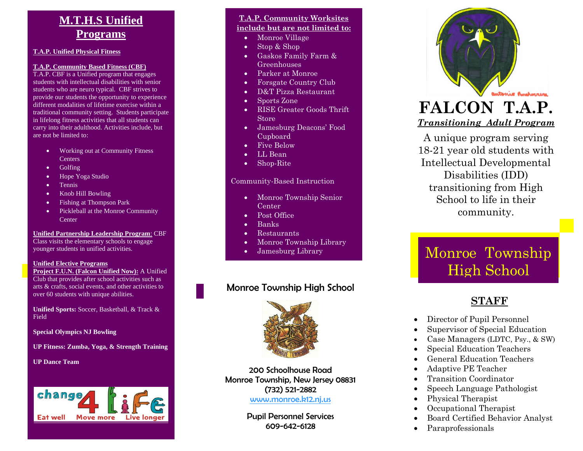### **M.T.H.S Unified Programs**

#### **T.A.P. Unified Physical Fitness**

#### **T.A.P. Community Based Fitness (CBF)**

T.A.P. CBF is a Unified program that engages students with intellectual disabilities with senior students who are neuro typical. CBF strives to provide our students the opportunity to experience different modalities of lifetime exercise within a traditional community setting. Students participate in lifelong fitness activities that all students can carry into their adulthood. Activities include, but are not be limited to :

- Working out at Community Fitness **Centers**
- Golfing
- Hope Yoga Studio
- Tennis
- Knob Hill Bowling
- Fishing at Thompson Park
- Pickleball at the Monroe Community **Center**

#### **Unified Partnership Leadership Program** : CBF

Class visit s the elementary schools to engage younger students in unified activities.

#### **Unified Elective Programs**

**Project F.U.N. (Falcon Unified Now):** A Unified Club that provides after school activities such as arts & crafts, social events, and other activities to over 60 students with unique abilities.

**Unified Sports:** Soccer, Basketball, & Track & Field

**Special Olympics NJ Bowling**

**UP Fitness: Zumba, Yoga, & Strength Training**

#### **UP Dance Team**



#### **T.A.P. Community Worksites include but are not limited to:**

- Monroe Village
- Stop & Shop
- Gaskos Family Farm & Greenhouses
- Parker at Monroe
- Forsgate Country Club
- D&T Pizza Restaurant
- Sports Zone
- RISE Greater Goods Thrift Store
- Jamesburg Deacons' Food Cupboard
- Five Below
- LL Bean
- Shop-Rite

#### Community -Based Instruction

- Monroe Township Senior Center
- Post Office
- Banks
- Restaurants

• Local Malls

- Monroe Township Library
- Jamesburg Library

### Monroe Township High School



200 Schoolhouse Road Monroe Township, New Jersey 08831 (732) 521 -2882

[www.monroe.k12.nj.us](http://www.monroe.k12.nj.us/)

Pupil Personnel Services 609 -642 -6128



### **FALCON T.A.P.**  *Transitioning Adult Program*

A unique program serving 18 -21 year old students with Intellectual Developmental Disabilities (IDD) transitioning from High School to life in their community.

## Monroe Township High School

### 20 **STAFF**

- Director of Pupil Personnel
- Supervisor of Special Education
- Case Managers (LDTC, Psy., & SW)
- Special Education Teachers
- General Education Teachers
- Adaptive PE Teacher
- Transition Coordinator
- Speech Language Pathologist
- Physical Therapist
- Occupational Therapist
- Board Certified Behavior Analyst
- Paraprofessionals